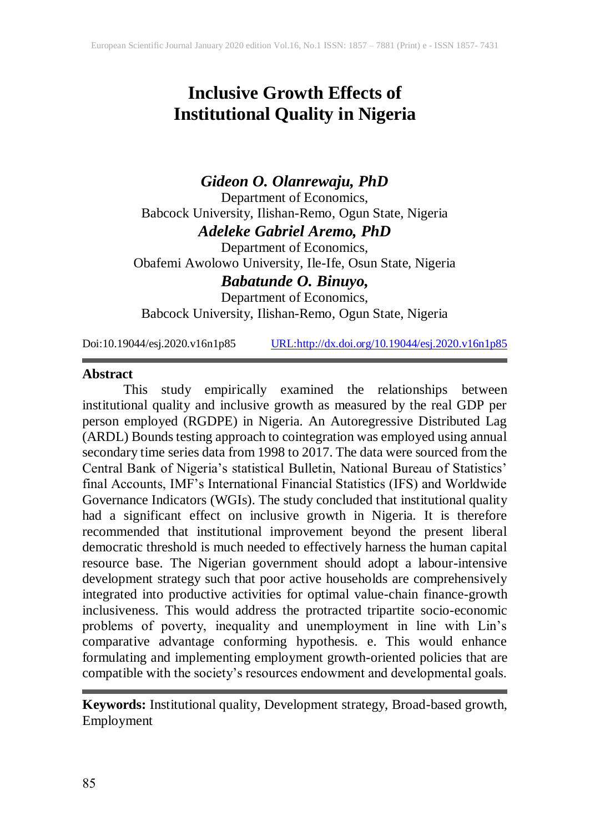# **Inclusive Growth Effects of Institutional Quality in Nigeria**

# *Gideon O. Olanrewaju, PhD* Department of Economics, Babcock University, Ilishan-Remo, Ogun State, Nigeria *Adeleke Gabriel Aremo, PhD*

Department of Economics, Obafemi Awolowo University, Ile-Ife, Osun State, Nigeria *Babatunde O. Binuyo,*

Department of Economics, Babcock University, Ilishan-Remo, Ogun State, Nigeria

Doi:10.19044/esj.2020.v16n1p85 [URL:http://dx.doi.org/10.19044/esj.2020.v16n1p85](http://dx.doi.org/10.19044/esj.2020.v16n1p85)

#### **Abstract**

This study empirically examined the relationships between institutional quality and inclusive growth as measured by the real GDP per person employed (RGDPE) in Nigeria. An Autoregressive Distributed Lag (ARDL) Bounds testing approach to cointegration was employed using annual secondary time series data from 1998 to 2017. The data were sourced from the Central Bank of Nigeria's statistical Bulletin, National Bureau of Statistics' final Accounts, IMF's International Financial Statistics (IFS) and Worldwide Governance Indicators (WGIs). The study concluded that institutional quality had a significant effect on inclusive growth in Nigeria. It is therefore recommended that institutional improvement beyond the present liberal democratic threshold is much needed to effectively harness the human capital resource base. The Nigerian government should adopt a labour-intensive development strategy such that poor active households are comprehensively integrated into productive activities for optimal value-chain finance-growth inclusiveness. This would address the protracted tripartite socio-economic problems of poverty, inequality and unemployment in line with Lin's comparative advantage conforming hypothesis. e. This would enhance formulating and implementing employment growth-oriented policies that are compatible with the society's resources endowment and developmental goals.

**Keywords:** Institutional quality, Development strategy, Broad-based growth, Employment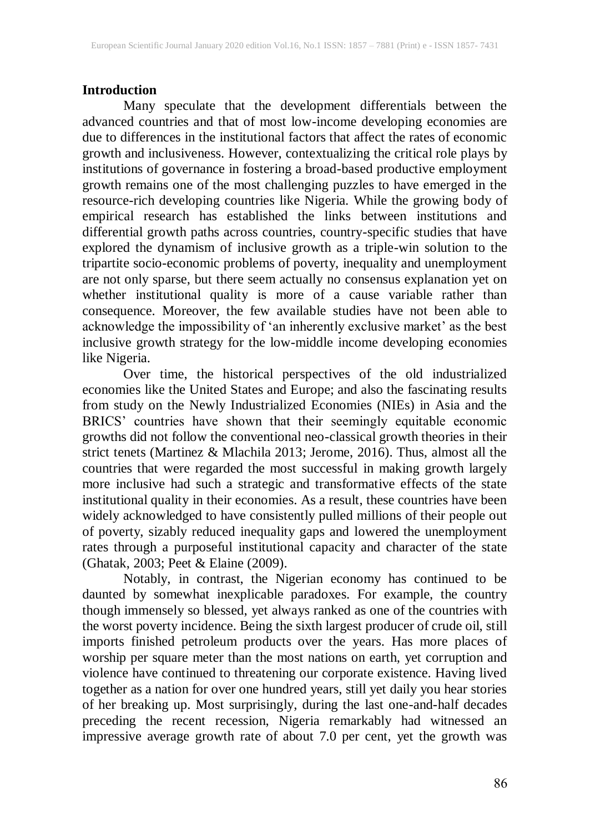# **Introduction**

Many speculate that the development differentials between the advanced countries and that of most low-income developing economies are due to differences in the institutional factors that affect the rates of economic growth and inclusiveness. However, contextualizing the critical role plays by institutions of governance in fostering a broad-based productive employment growth remains one of the most challenging puzzles to have emerged in the resource-rich developing countries like Nigeria. While the growing body of empirical research has established the links between institutions and differential growth paths across countries, country-specific studies that have explored the dynamism of inclusive growth as a triple-win solution to the tripartite socio-economic problems of poverty, inequality and unemployment are not only sparse, but there seem actually no consensus explanation yet on whether institutional quality is more of a cause variable rather than consequence. Moreover, the few available studies have not been able to acknowledge the impossibility of 'an inherently exclusive market' as the best inclusive growth strategy for the low-middle income developing economies like Nigeria.

Over time, the historical perspectives of the old industrialized economies like the United States and Europe; and also the fascinating results from study on the Newly Industrialized Economies (NIEs) in Asia and the BRICS' countries have shown that their seemingly equitable economic growths did not follow the conventional neo-classical growth theories in their strict tenets (Martinez & Mlachila 2013; Jerome, 2016). Thus, almost all the countries that were regarded the most successful in making growth largely more inclusive had such a strategic and transformative effects of the state institutional quality in their economies. As a result, these countries have been widely acknowledged to have consistently pulled millions of their people out of poverty, sizably reduced inequality gaps and lowered the unemployment rates through a purposeful institutional capacity and character of the state (Ghatak, 2003; Peet & Elaine (2009).

Notably, in contrast, the Nigerian economy has continued to be daunted by somewhat inexplicable paradoxes. For example, the country though immensely so blessed, yet always ranked as one of the countries with the worst poverty incidence. Being the sixth largest producer of crude oil, still imports finished petroleum products over the years. Has more places of worship per square meter than the most nations on earth, yet corruption and violence have continued to threatening our corporate existence. Having lived together as a nation for over one hundred years, still yet daily you hear stories of her breaking up. Most surprisingly, during the last one-and-half decades preceding the recent recession, Nigeria remarkably had witnessed an impressive average growth rate of about 7.0 per cent, yet the growth was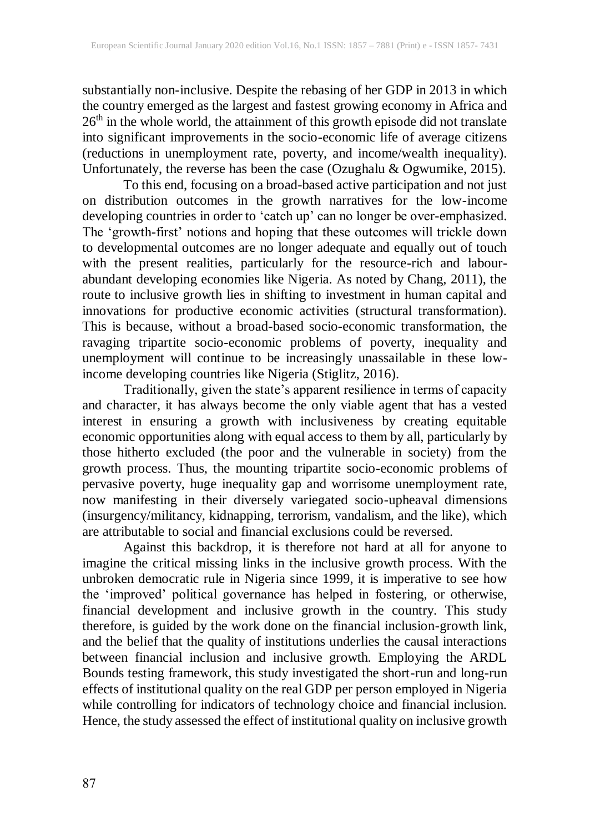substantially non-inclusive. Despite the rebasing of her GDP in 2013 in which the country emerged as the largest and fastest growing economy in Africa and  $26<sup>th</sup>$  in the whole world, the attainment of this growth episode did not translate into significant improvements in the socio-economic life of average citizens (reductions in unemployment rate, poverty, and income/wealth inequality). Unfortunately, the reverse has been the case (Ozughalu & Ogwumike, 2015).

To this end, focusing on a broad-based active participation and not just on distribution outcomes in the growth narratives for the low-income developing countries in order to 'catch up' can no longer be over-emphasized. The 'growth-first' notions and hoping that these outcomes will trickle down to developmental outcomes are no longer adequate and equally out of touch with the present realities, particularly for the resource-rich and labourabundant developing economies like Nigeria. As noted by Chang, 2011), the route to inclusive growth lies in shifting to investment in human capital and innovations for productive economic activities (structural transformation). This is because, without a broad-based socio-economic transformation, the ravaging tripartite socio-economic problems of poverty, inequality and unemployment will continue to be increasingly unassailable in these lowincome developing countries like Nigeria (Stiglitz, 2016).

Traditionally, given the state's apparent resilience in terms of capacity and character, it has always become the only viable agent that has a vested interest in ensuring a growth with inclusiveness by creating equitable economic opportunities along with equal access to them by all, particularly by those hitherto excluded (the poor and the vulnerable in society) from the growth process. Thus, the mounting tripartite socio-economic problems of pervasive poverty, huge inequality gap and worrisome unemployment rate, now manifesting in their diversely variegated socio-upheaval dimensions (insurgency/militancy, kidnapping, terrorism, vandalism, and the like), which are attributable to social and financial exclusions could be reversed.

Against this backdrop, it is therefore not hard at all for anyone to imagine the critical missing links in the inclusive growth process. With the unbroken democratic rule in Nigeria since 1999, it is imperative to see how the 'improved' political governance has helped in fostering, or otherwise, financial development and inclusive growth in the country. This study therefore, is guided by the work done on the financial inclusion-growth link, and the belief that the quality of institutions underlies the causal interactions between financial inclusion and inclusive growth. Employing the ARDL Bounds testing framework, this study investigated the short-run and long-run effects of institutional quality on the real GDP per person employed in Nigeria while controlling for indicators of technology choice and financial inclusion. Hence, the study assessed the effect of institutional quality on inclusive growth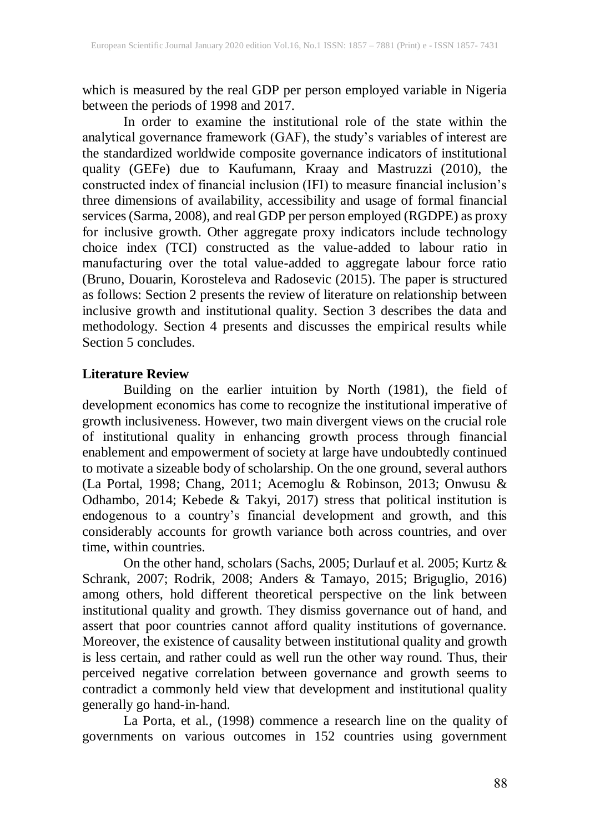which is measured by the real GDP per person employed variable in Nigeria between the periods of 1998 and 2017.

In order to examine the institutional role of the state within the analytical governance framework (GAF), the study's variables of interest are the standardized worldwide composite governance indicators of institutional quality (GEFe) due to Kaufumann, Kraay and Mastruzzi (2010), the constructed index of financial inclusion (IFI) to measure financial inclusion's three dimensions of availability, accessibility and usage of formal financial services(Sarma, 2008), and real GDP per person employed (RGDPE) as proxy for inclusive growth. Other aggregate proxy indicators include technology choice index (TCI) constructed as the value-added to labour ratio in manufacturing over the total value-added to aggregate labour force ratio (Bruno, Douarin, Korosteleva and Radosevic (2015). The paper is structured as follows: Section 2 presents the review of literature on relationship between inclusive growth and institutional quality. Section 3 describes the data and methodology. Section 4 presents and discusses the empirical results while Section 5 concludes.

#### **Literature Review**

Building on the earlier intuition by North (1981), the field of development economics has come to recognize the institutional imperative of growth inclusiveness. However, two main divergent views on the crucial role of institutional quality in enhancing growth process through financial enablement and empowerment of society at large have undoubtedly continued to motivate a sizeable body of scholarship. On the one ground, several authors (La Portal, 1998; Chang, 2011; Acemoglu & Robinson, 2013; Onwusu & Odhambo, 2014; Kebede & Takyi, 2017) stress that political institution is endogenous to a country's financial development and growth, and this considerably accounts for growth variance both across countries, and over time, within countries.

On the other hand, scholars (Sachs, 2005; Durlauf et al. 2005; Kurtz & Schrank, 2007; Rodrik, 2008; Anders & Tamayo, 2015; Briguglio, 2016) among others, hold different theoretical perspective on the link between institutional quality and growth. They dismiss governance out of hand, and assert that poor countries cannot afford quality institutions of governance. Moreover, the existence of causality between institutional quality and growth is less certain, and rather could as well run the other way round. Thus, their perceived negative correlation between governance and growth seems to contradict a commonly held view that development and institutional quality generally go hand-in-hand.

La Porta, et al., (1998) commence a research line on the quality of governments on various outcomes in 152 countries using government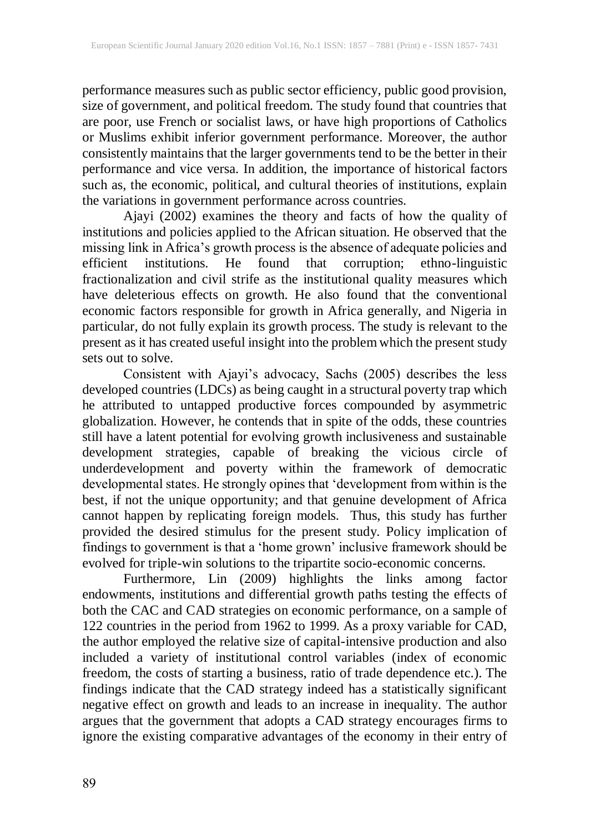performance measures such as public sector efficiency, public good provision, size of government, and political freedom. The study found that countries that are poor, use French or socialist laws, or have high proportions of Catholics or Muslims exhibit inferior government performance. Moreover, the author consistently maintains that the larger governments tend to be the better in their performance and vice versa. In addition, the importance of historical factors such as, the economic, political, and cultural theories of institutions, explain the variations in government performance across countries.

Ajayi (2002) examines the theory and facts of how the quality of institutions and policies applied to the African situation. He observed that the missing link in Africa's growth process is the absence of adequate policies and efficient institutions. He found that corruption; ethno-linguistic fractionalization and civil strife as the institutional quality measures which have deleterious effects on growth. He also found that the conventional economic factors responsible for growth in Africa generally, and Nigeria in particular, do not fully explain its growth process. The study is relevant to the present as it has created useful insight into the problem which the present study sets out to solve.

Consistent with Ajayi's advocacy, Sachs (2005) describes the less developed countries (LDCs) as being caught in a structural poverty trap which he attributed to untapped productive forces compounded by asymmetric globalization. However, he contends that in spite of the odds, these countries still have a latent potential for evolving growth inclusiveness and sustainable development strategies, capable of breaking the vicious circle of underdevelopment and poverty within the framework of democratic developmental states. He strongly opines that 'development from within is the best, if not the unique opportunity; and that genuine development of Africa cannot happen by replicating foreign models. Thus, this study has further provided the desired stimulus for the present study. Policy implication of findings to government is that a 'home grown' inclusive framework should be evolved for triple-win solutions to the tripartite socio-economic concerns.

Furthermore, Lin (2009) highlights the links among factor endowments, institutions and differential growth paths testing the effects of both the CAC and CAD strategies on economic performance, on a sample of 122 countries in the period from 1962 to 1999. As a proxy variable for CAD, the author employed the relative size of capital-intensive production and also included a variety of institutional control variables (index of economic freedom, the costs of starting a business, ratio of trade dependence etc.). The findings indicate that the CAD strategy indeed has a statistically significant negative effect on growth and leads to an increase in inequality. The author argues that the government that adopts a CAD strategy encourages firms to ignore the existing comparative advantages of the economy in their entry of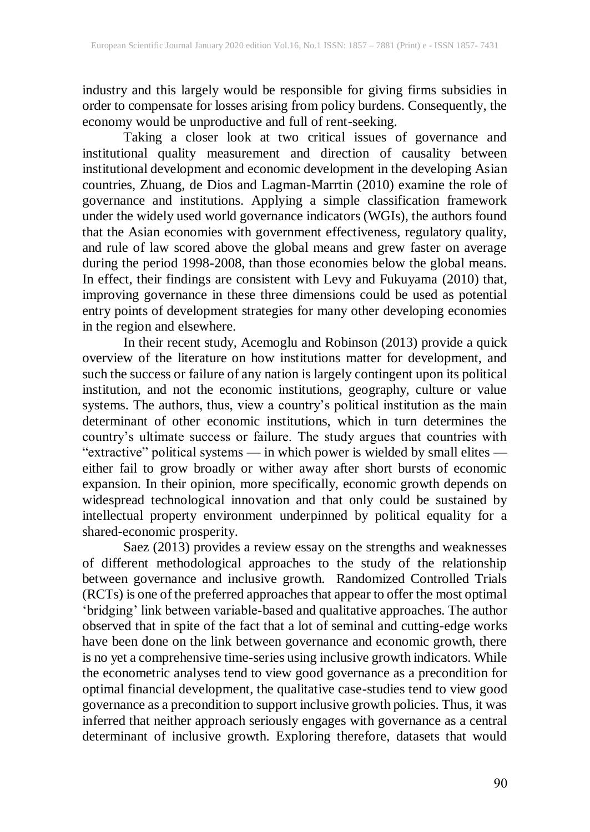industry and this largely would be responsible for giving firms subsidies in order to compensate for losses arising from policy burdens. Consequently, the economy would be unproductive and full of rent-seeking.

Taking a closer look at two critical issues of governance and institutional quality measurement and direction of causality between institutional development and economic development in the developing Asian countries, Zhuang, de Dios and Lagman-Marrtin (2010) examine the role of governance and institutions. Applying a simple classification framework under the widely used world governance indicators (WGIs), the authors found that the Asian economies with government effectiveness, regulatory quality, and rule of law scored above the global means and grew faster on average during the period 1998-2008, than those economies below the global means. In effect, their findings are consistent with Levy and Fukuyama (2010) that, improving governance in these three dimensions could be used as potential entry points of development strategies for many other developing economies in the region and elsewhere.

In their recent study, Acemoglu and Robinson (2013) provide a quick overview of the literature on how institutions matter for development, and such the success or failure of any nation is largely contingent upon its political institution, and not the economic institutions, geography, culture or value systems. The authors, thus, view a country's political institution as the main determinant of other economic institutions, which in turn determines the country's ultimate success or failure. The study argues that countries with "extractive" political systems — in which power is wielded by small elites either fail to grow broadly or wither away after short bursts of economic expansion. In their opinion, more specifically, economic growth depends on widespread technological innovation and that only could be sustained by intellectual property environment underpinned by political equality for a shared-economic prosperity.

Saez (2013) provides a review essay on the strengths and weaknesses of different methodological approaches to the study of the relationship between governance and inclusive growth. Randomized Controlled Trials (RCTs) is one of the preferred approaches that appear to offer the most optimal 'bridging' link between variable-based and qualitative approaches. The author observed that in spite of the fact that a lot of seminal and cutting-edge works have been done on the link between governance and economic growth, there is no yet a comprehensive time-series using inclusive growth indicators. While the econometric analyses tend to view good governance as a precondition for optimal financial development, the qualitative case-studies tend to view good governance as a precondition to support inclusive growth policies. Thus, it was inferred that neither approach seriously engages with governance as a central determinant of inclusive growth. Exploring therefore, datasets that would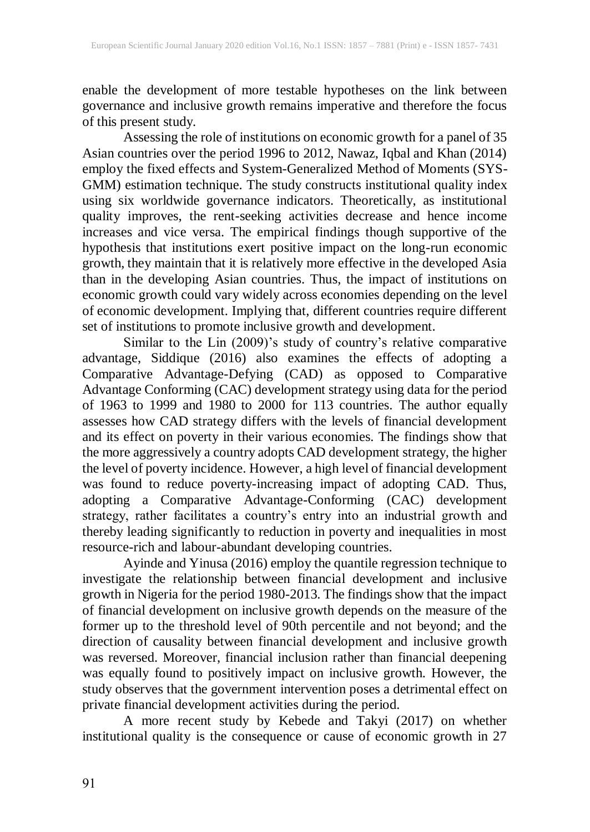enable the development of more testable hypotheses on the link between governance and inclusive growth remains imperative and therefore the focus of this present study.

Assessing the role of institutions on economic growth for a panel of 35 Asian countries over the period 1996 to 2012, Nawaz, Iqbal and Khan (2014) employ the fixed effects and System-Generalized Method of Moments (SYS-GMM) estimation technique. The study constructs institutional quality index using six worldwide governance indicators. Theoretically, as institutional quality improves, the rent-seeking activities decrease and hence income increases and vice versa. The empirical findings though supportive of the hypothesis that institutions exert positive impact on the long-run economic growth, they maintain that it is relatively more effective in the developed Asia than in the developing Asian countries. Thus, the impact of institutions on economic growth could vary widely across economies depending on the level of economic development. Implying that, different countries require different set of institutions to promote inclusive growth and development.

Similar to the Lin (2009)'s study of country's relative comparative advantage, Siddique (2016) also examines the effects of adopting a Comparative Advantage-Defying (CAD) as opposed to Comparative Advantage Conforming (CAC) development strategy using data for the period of 1963 to 1999 and 1980 to 2000 for 113 countries. The author equally assesses how CAD strategy differs with the levels of financial development and its effect on poverty in their various economies. The findings show that the more aggressively a country adopts CAD development strategy, the higher the level of poverty incidence. However, a high level of financial development was found to reduce poverty-increasing impact of adopting CAD. Thus, adopting a Comparative Advantage-Conforming (CAC) development strategy, rather facilitates a country's entry into an industrial growth and thereby leading significantly to reduction in poverty and inequalities in most resource-rich and labour-abundant developing countries.

Ayinde and Yinusa (2016) employ the quantile regression technique to investigate the relationship between financial development and inclusive growth in Nigeria for the period 1980-2013. The findings show that the impact of financial development on inclusive growth depends on the measure of the former up to the threshold level of 90th percentile and not beyond; and the direction of causality between financial development and inclusive growth was reversed. Moreover, financial inclusion rather than financial deepening was equally found to positively impact on inclusive growth. However, the study observes that the government intervention poses a detrimental effect on private financial development activities during the period.

A more recent study by Kebede and Takyi (2017) on whether institutional quality is the consequence or cause of economic growth in 27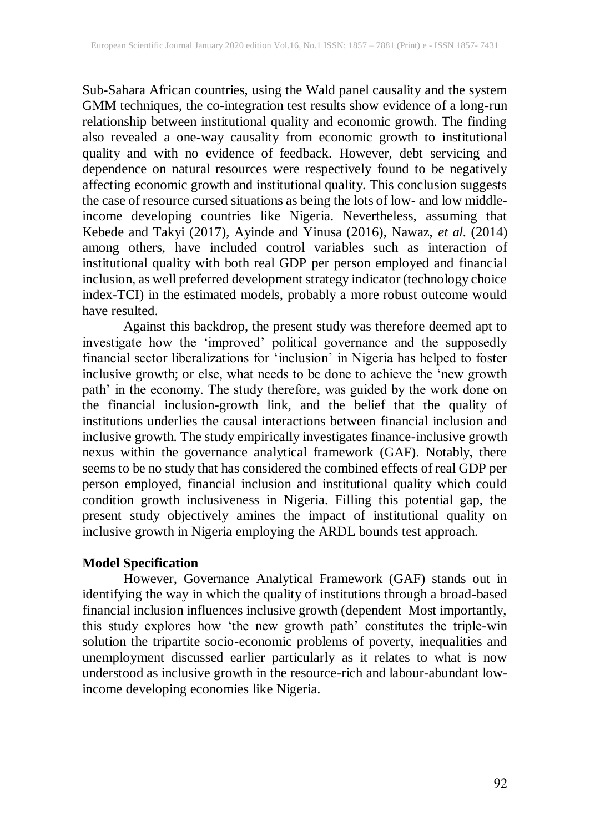Sub-Sahara African countries, using the Wald panel causality and the system GMM techniques, the co-integration test results show evidence of a long-run relationship between institutional quality and economic growth. The finding also revealed a one-way causality from economic growth to institutional quality and with no evidence of feedback. However, debt servicing and dependence on natural resources were respectively found to be negatively affecting economic growth and institutional quality. This conclusion suggests the case of resource cursed situations as being the lots of low- and low middleincome developing countries like Nigeria. Nevertheless, assuming that Kebede and Takyi (2017), Ayinde and Yinusa (2016), Nawaz, *et al.* (2014) among others, have included control variables such as interaction of institutional quality with both real GDP per person employed and financial inclusion, as well preferred development strategy indicator (technology choice index-TCI) in the estimated models, probably a more robust outcome would have resulted.

Against this backdrop, the present study was therefore deemed apt to investigate how the 'improved' political governance and the supposedly financial sector liberalizations for 'inclusion' in Nigeria has helped to foster inclusive growth; or else, what needs to be done to achieve the 'new growth path' in the economy. The study therefore, was guided by the work done on the financial inclusion-growth link, and the belief that the quality of institutions underlies the causal interactions between financial inclusion and inclusive growth. The study empirically investigates finance-inclusive growth nexus within the governance analytical framework (GAF). Notably, there seems to be no study that has considered the combined effects of real GDP per person employed, financial inclusion and institutional quality which could condition growth inclusiveness in Nigeria. Filling this potential gap, the present study objectively amines the impact of institutional quality on inclusive growth in Nigeria employing the ARDL bounds test approach.

# **Model Specification**

However, Governance Analytical Framework (GAF) stands out in identifying the way in which the quality of institutions through a broad-based financial inclusion influences inclusive growth (dependent Most importantly, this study explores how 'the new growth path' constitutes the triple-win solution the tripartite socio-economic problems of poverty, inequalities and unemployment discussed earlier particularly as it relates to what is now understood as inclusive growth in the resource-rich and labour-abundant lowincome developing economies like Nigeria.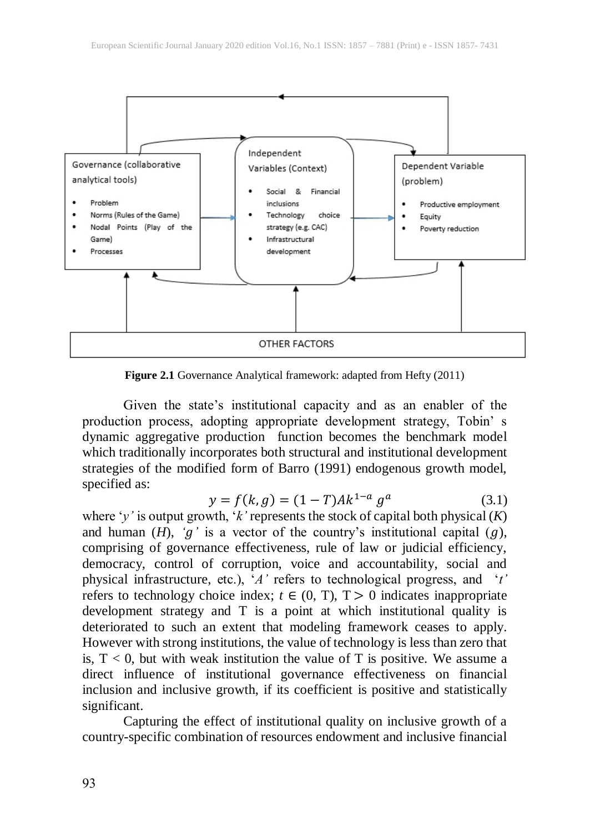

**Figure 2.1** Governance Analytical framework: adapted from Hefty (2011)

Given the state's institutional capacity and as an enabler of the production process, adopting appropriate development strategy, Tobin' s dynamic aggregative production function becomes the benchmark model which traditionally incorporates both structural and institutional development strategies of the modified form of Barro (1991) endogenous growth model, specified as:

$$
y = f(k, g) = (1 - T)Ak^{1-a} g^a \tag{3.1}
$$

where '*y'* is output growth, '*k'* represents the stock of capital both physical (*K*) and human  $(H)$ ,  $'g'$  is a vector of the country's institutional capital  $(g)$ , comprising of governance effectiveness, rule of law or judicial efficiency, democracy, control of corruption, voice and accountability, social and physical infrastructure, etc.), '*A'* refers to technological progress, and '*t'* refers to technology choice index;  $t \in (0, T)$ ,  $T > 0$  indicates inappropriate development strategy and T is a point at which institutional quality is deteriorated to such an extent that modeling framework ceases to apply. However with strong institutions, the value of technology is less than zero that is,  $T < 0$ , but with weak institution the value of T is positive. We assume a direct influence of institutional governance effectiveness on financial inclusion and inclusive growth, if its coefficient is positive and statistically significant.

Capturing the effect of institutional quality on inclusive growth of a country-specific combination of resources endowment and inclusive financial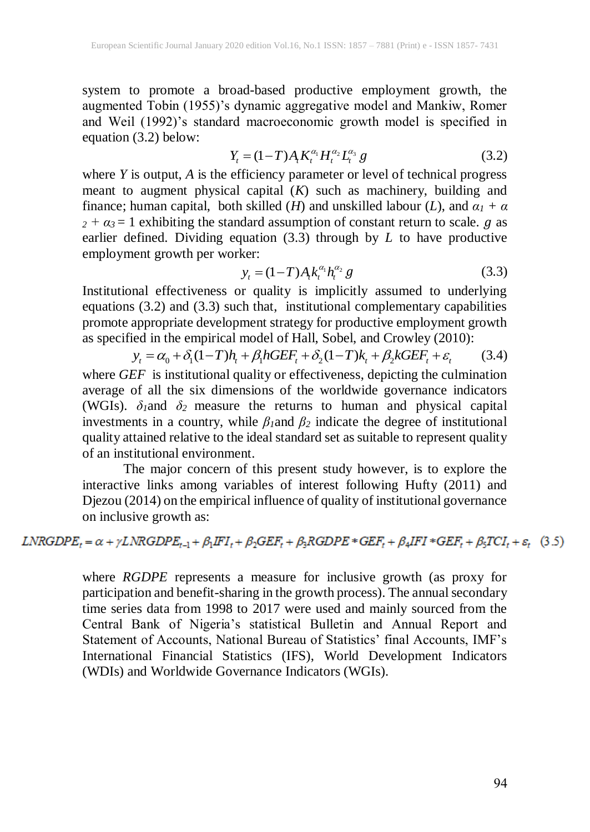system to promote a broad-based productive employment growth, the augmented Tobin (1955)'s dynamic aggregative model and Mankiw, Romer and Weil (1992)'s standard macroeconomic growth model is specified in equation (3.2) below:

$$
Y_{t} = (1 - T)A_{t} K_{t}^{\alpha_{1}} H_{t}^{\alpha_{2}} L_{t}^{\alpha_{3}} g
$$
 (3.2)

where *Y* is output, *A* is the efficiency parameter or level of technical progress meant to augment physical capital (*K*) such as machinery, building and finance; human capital, both skilled (*H*) and unskilled labour (*L*), and  $\alpha_1 + \alpha$  $2 + \alpha_3 = 1$  exhibiting the standard assumption of constant return to scale.  $g$  as earlier defined. Dividing equation (3.3) through by *L* to have productive employment growth per worker:

$$
y_t = (1 - T) A_t k_i^{\alpha_1} h_t^{\alpha_2} g \tag{3.3}
$$

Institutional effectiveness or quality is implicitly assumed to underlying equations (3.2) and (3.3) such that, institutional complementary capabilities promote appropriate development strategy for productive employment growth as specified in the empirical model of Hall, Sobel, and Crowley (2010): appropriate development strategy for productive employment growt<br>ed in the empirical model of Hall, Sobel, and Crowley (2010):<br> $y_t = \alpha_0 + \delta_1 (1 - T)h_t + \beta_1 hGEF_t + \delta_2 (1 - T)k_t + \beta_2 kGEF_t + \varepsilon_t$  (3.4)

$$
y_t = \alpha_0 + \delta_1 (1 - T) h_t + \beta_1 h G E F_t + \delta_2 (1 - T) k_t + \beta_2 k G E F_t + \varepsilon_t \tag{3.4}
$$

where *GEF* is institutional quality or effectiveness, depicting the culmination average of all the six dimensions of the worldwide governance indicators (WGIs).  $\delta_1$ and  $\delta_2$  measure the returns to human and physical capital investments in a country, while  $\beta_1$ and  $\beta_2$  indicate the degree of institutional quality attained relative to the ideal standard set as suitable to represent quality of an institutional environment.

The major concern of this present study however, is to explore the interactive links among variables of interest following Hufty (2011) and Djezou (2014) on the empirical influence of quality of institutional governance on inclusive growth as:

# $LNRGDPE_t = \alpha + \gamma LNRGDPE_{t-1} + \beta_1 IFI_t + \beta_2 GEF_t + \beta_3 RGBPE * GEF_t + \beta_4 IFI * GEF_t + \beta_5 TCI_t + \varepsilon_t$  (3.5)

where *RGDPE* represents a measure for inclusive growth (as proxy for participation and benefit-sharing in the growth process). The annual secondary time series data from 1998 to 2017 were used and mainly sourced from the Central Bank of Nigeria's statistical Bulletin and Annual Report and Statement of Accounts, National Bureau of Statistics' final Accounts, IMF's International Financial Statistics (IFS), World Development Indicators (WDIs) and Worldwide Governance Indicators (WGIs).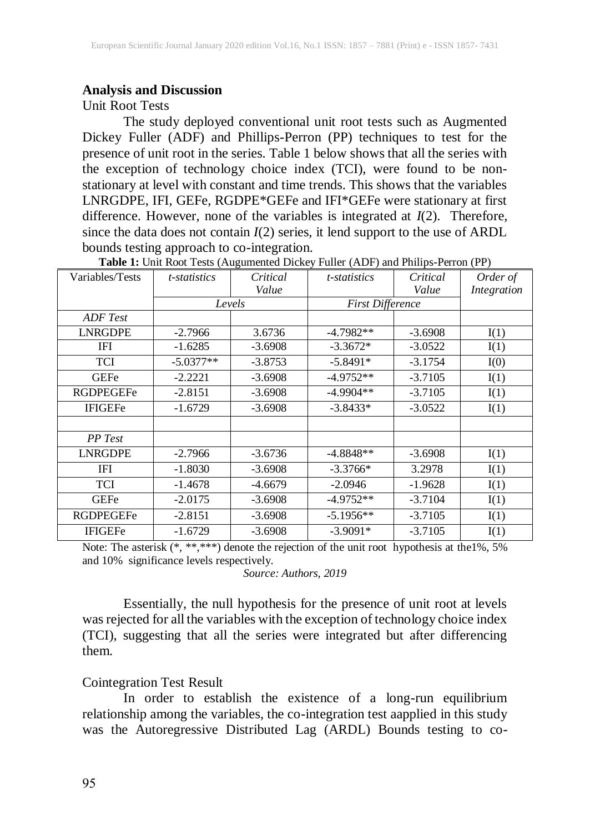#### **Analysis and Discussion**

Unit Root Tests

The study deployed conventional unit root tests such as Augmented Dickey Fuller (ADF) and Phillips-Perron (PP) techniques to test for the presence of unit root in the series. Table 1 below shows that all the series with the exception of technology choice index (TCI), were found to be nonstationary at level with constant and time trends. This shows that the variables LNRGDPE, IFI, GEFe, RGDPE\*GEFe and IFI\*GEFe were stationary at first difference. However, none of the variables is integrated at *I*(2). Therefore, since the data does not contain  $I(2)$  series, it lend support to the use of ARDL bounds testing approach to co-integration.

| Variables/Tests  | <i>t</i> -statistics | Critical  | t-statistics            | Critical  | Order of    |
|------------------|----------------------|-----------|-------------------------|-----------|-------------|
|                  |                      | Value     |                         | Value     | Integration |
|                  | Levels               |           | <b>First Difference</b> |           |             |
| ADF Test         |                      |           |                         |           |             |
| <b>LNRGDPE</b>   | $-2.7966$            | 3.6736    | $-4.7982**$             | $-3.6908$ | I(1)        |
| IFI              | $-1.6285$            | $-3.6908$ | $-3.3672*$              | $-3.0522$ | I(1)        |
| TCI              | $-5.0377**$          | $-3.8753$ | $-5.8491*$              | $-3.1754$ | I(0)        |
| <b>GEFe</b>      | $-2.2221$            | $-3.6908$ | $-4.9752**$             | $-3.7105$ | I(1)        |
| <b>RGDPEGEFe</b> | $-2.8151$            | $-3.6908$ | $-4.9904**$             | $-3.7105$ | I(1)        |
| <b>IFIGEFe</b>   | $-1.6729$            | $-3.6908$ | $-3.8433*$              | $-3.0522$ | I(1)        |
|                  |                      |           |                         |           |             |
| PP Test          |                      |           |                         |           |             |
| <b>LNRGDPE</b>   | $-2.7966$            | $-3.6736$ | $-4.8848**$             | $-3.6908$ | I(1)        |
| <b>IFI</b>       | $-1.8030$            | $-3.6908$ | $-3.3766*$              | 3.2978    | I(1)        |
| TCI              | $-1.4678$            | $-4.6679$ | $-2.0946$               | $-1.9628$ | I(1)        |
| <b>GEFe</b>      | $-2.0175$            | $-3.6908$ | $-4.9752**$             | $-3.7104$ | I(1)        |
| <b>RGDPEGEFe</b> | $-2.8151$            | $-3.6908$ | $-5.1956**$             | $-3.7105$ | I(1)        |
| <b>IFIGEFe</b>   | $-1.6729$            | $-3.6908$ | $-3.9091*$              | $-3.7105$ | I(1)        |

**Table 1:** Unit Root Tests (Augumented Dickey Fuller (ADF) and Philips-Perron (PP)

Note: The asterisk (\*, \*\*,\*\*\*) denote the rejection of the unit root hypothesis at the1%, 5% and 10% significance levels respectively.

*Source: Authors, 2019*

Essentially, the null hypothesis for the presence of unit root at levels was rejected for all the variables with the exception of technology choice index (TCI), suggesting that all the series were integrated but after differencing them.

#### Cointegration Test Result

In order to establish the existence of a long-run equilibrium relationship among the variables, the co-integration test aapplied in this study was the Autoregressive Distributed Lag (ARDL) Bounds testing to co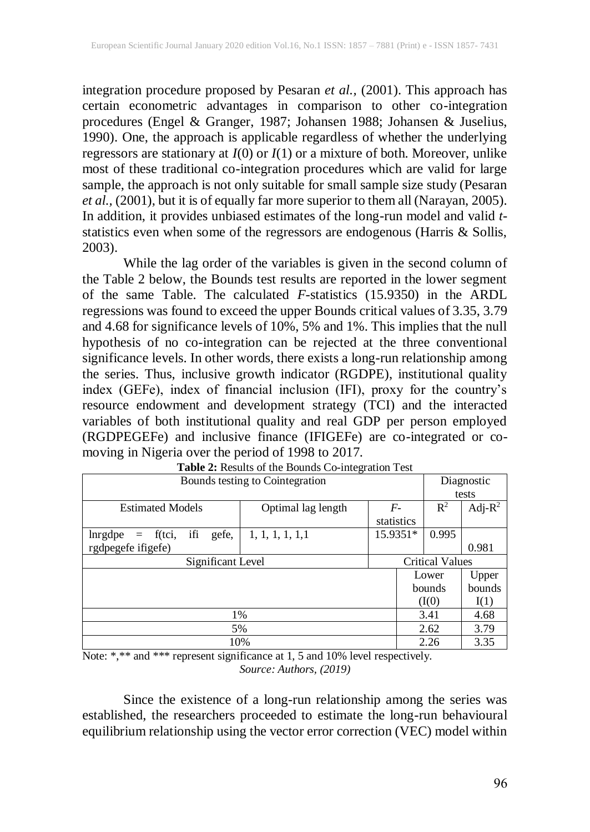integration procedure proposed by Pesaran *et al.,* (2001). This approach has certain econometric advantages in comparison to other co-integration procedures (Engel & Granger, 1987; Johansen 1988; Johansen & Juselius, 1990). One, the approach is applicable regardless of whether the underlying regressors are stationary at *I*(0) or *I*(1) or a mixture of both. Moreover, unlike most of these traditional co-integration procedures which are valid for large sample, the approach is not only suitable for small sample size study (Pesaran *et al.,* (2001), but it is of equally far more superior to them all (Narayan, 2005). In addition, it provides unbiased estimates of the long-run model and valid *t*statistics even when some of the regressors are endogenous (Harris & Sollis, 2003).

While the lag order of the variables is given in the second column of the Table 2 below, the Bounds test results are reported in the lower segment of the same Table. The calculated *F*-statistics (15.9350) in the ARDL regressions was found to exceed the upper Bounds critical values of 3.35, 3.79 and 4.68 for significance levels of 10%, 5% and 1%. This implies that the null hypothesis of no co-integration can be rejected at the three conventional significance levels. In other words, there exists a long-run relationship among the series. Thus, inclusive growth indicator (RGDPE), institutional quality index (GEFe), index of financial inclusion (IFI), proxy for the country's resource endowment and development strategy (TCI) and the interacted variables of both institutional quality and real GDP per person employed (RGDPEGEFe) and inclusive finance (IFIGEFe) are co-integrated or comoving in Nigeria over the period of 1998 to 2017.

| Bounds testing to Cointegration          |                    |      |                        | Diagnostic     |            |
|------------------------------------------|--------------------|------|------------------------|----------------|------------|
|                                          |                    |      |                        |                | tests      |
| <b>Estimated Models</b>                  | Optimal lag length | $F-$ |                        | $\mathbb{R}^2$ | Adj- $R^2$ |
|                                          |                    |      | statistics             |                |            |
| ifi<br>lnrgdpe<br>f(tci,<br>gefe,<br>$=$ | 1, 1, 1, 1, 1, 1   |      | 15.9351*               | 0.995          |            |
| rgdpegefe ifigefe)                       |                    |      |                        |                | 0.981      |
| Significant Level                        |                    |      | <b>Critical Values</b> |                |            |
|                                          |                    |      |                        | Lower          | Upper      |
|                                          |                    |      |                        | bounds         | bounds     |
|                                          |                    |      |                        | (I(0))         | I(1)       |
| 1%                                       |                    |      |                        | 3.41           | 4.68       |
| 5%                                       |                    |      |                        | 2.62           | 3.79       |
| 10%<br>2.26                              |                    |      |                        |                | 3.35       |

|  |  | Table 2: Results of the Bounds Co-integration Test |  |
|--|--|----------------------------------------------------|--|
|  |  |                                                    |  |

Note: \*,\*\* and \*\*\* represent significance at 1, 5 and 10% level respectively. *Source: Authors, (2019)*

Since the existence of a long-run relationship among the series was established, the researchers proceeded to estimate the long-run behavioural equilibrium relationship using the vector error correction (VEC) model within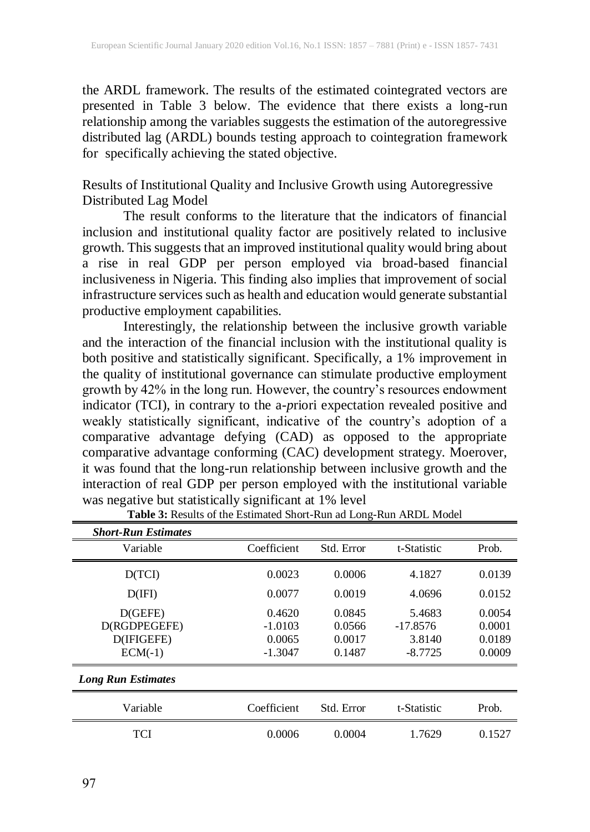the ARDL framework. The results of the estimated cointegrated vectors are presented in Table 3 below. The evidence that there exists a long-run relationship among the variables suggests the estimation of the autoregressive distributed lag (ARDL) bounds testing approach to cointegration framework for specifically achieving the stated objective.

# Results of Institutional Quality and Inclusive Growth using Autoregressive Distributed Lag Model

The result conforms to the literature that the indicators of financial inclusion and institutional quality factor are positively related to inclusive growth. This suggests that an improved institutional quality would bring about a rise in real GDP per person employed via broad-based financial inclusiveness in Nigeria. This finding also implies that improvement of social infrastructure services such as health and education would generate substantial productive employment capabilities.

Interestingly, the relationship between the inclusive growth variable and the interaction of the financial inclusion with the institutional quality is both positive and statistically significant. Specifically, a 1% improvement in the quality of institutional governance can stimulate productive employment growth by 42% in the long run. However, the country's resources endowment indicator (TCI), in contrary to the a-*p*riori expectation revealed positive and weakly statistically significant, indicative of the country's adoption of a comparative advantage defying (CAD) as opposed to the appropriate comparative advantage conforming (CAC) development strategy. Moerover, it was found that the long-run relationship between inclusive growth and the interaction of real GDP per person employed with the institutional variable was negative but statistically significant at 1% level

| <b>Short-Run Estimates</b>                         |                                            |                                      |                                             |                                      |
|----------------------------------------------------|--------------------------------------------|--------------------------------------|---------------------------------------------|--------------------------------------|
| Variable                                           | Coefficient                                | Std. Error                           | t-Statistic                                 | Prob.                                |
| D(TCI)                                             | 0.0023                                     | 0.0006                               | 4.1827                                      | 0.0139                               |
| D(IFI)                                             | 0.0077                                     | 0.0019                               | 4.0696                                      | 0.0152                               |
| D(GEFE)<br>D(RGDPEGEFE)<br>D(IFIGEFE)<br>$ECM(-1)$ | 0.4620<br>$-1.0103$<br>0.0065<br>$-1.3047$ | 0.0845<br>0.0566<br>0.0017<br>0.1487 | 5.4683<br>$-17.8576$<br>3.8140<br>$-8.7725$ | 0.0054<br>0.0001<br>0.0189<br>0.0009 |
| <b>Long Run Estimates</b>                          |                                            |                                      |                                             |                                      |
| Variable                                           | Coefficient                                | Std. Error                           | t-Statistic                                 | Prob.                                |
| TCI                                                | 0.0006                                     | 0.0004                               | 1.7629                                      | 0.1527                               |

**Table 3:** Results of the Estimated Short-Run ad Long-Run ARDL Model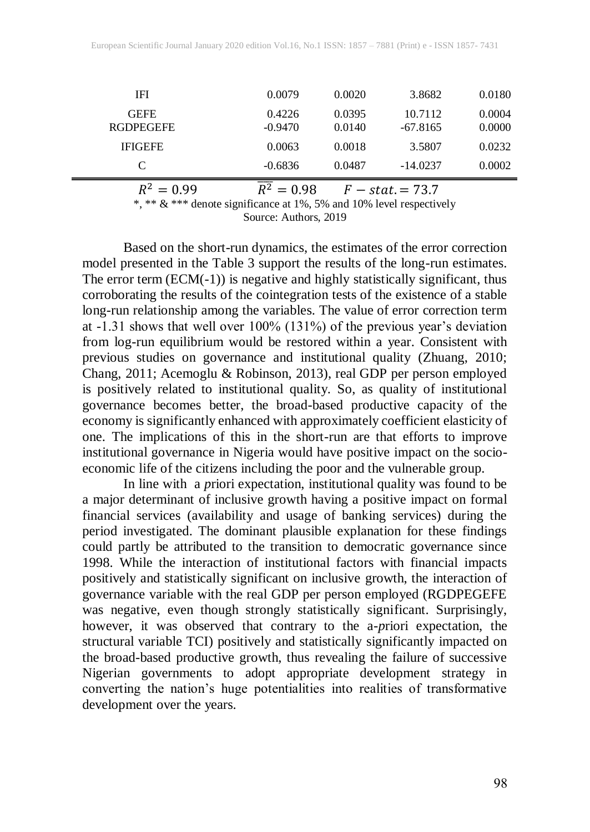| $R^2 = 0.99$                    | $\bar{R}^2 = 0.98$  |                  | $F - stat = 73.7$     |                  |
|---------------------------------|---------------------|------------------|-----------------------|------------------|
| C                               | $-0.6836$           | 0.0487           | $-14.0237$            | 0.0002           |
| <b>IFIGEFE</b>                  | 0.0063              | 0.0018           | 3.5807                | 0.0232           |
| <b>GEFE</b><br><b>RGDPEGEFE</b> | 0.4226<br>$-0.9470$ | 0.0395<br>0.0140 | 10.7112<br>$-67.8165$ | 0.0004<br>0.0000 |
| IFI                             | 0.0079              | 0.0020           | 3.8682                | 0.0180           |
|                                 |                     |                  |                       |                  |

\*, \*\* & \*\*\* denote significance at 1%, 5% and 10% level respectively

Source: Authors, 2019

Based on the short-run dynamics, the estimates of the error correction model presented in the Table 3 support the results of the long-run estimates. The error term (ECM(-1)) is negative and highly statistically significant, thus corroborating the results of the cointegration tests of the existence of a stable long-run relationship among the variables. The value of error correction term at -1.31 shows that well over 100% (131%) of the previous year's deviation from log-run equilibrium would be restored within a year. Consistent with previous studies on governance and institutional quality (Zhuang, 2010; Chang, 2011; Acemoglu & Robinson, 2013), real GDP per person employed is positively related to institutional quality. So, as quality of institutional governance becomes better, the broad-based productive capacity of the economy is significantly enhanced with approximately coefficient elasticity of one. The implications of this in the short-run are that efforts to improve institutional governance in Nigeria would have positive impact on the socioeconomic life of the citizens including the poor and the vulnerable group.

In line with a *p*riori expectation, institutional quality was found to be a major determinant of inclusive growth having a positive impact on formal financial services (availability and usage of banking services) during the period investigated. The dominant plausible explanation for these findings could partly be attributed to the transition to democratic governance since 1998. While the interaction of institutional factors with financial impacts positively and statistically significant on inclusive growth, the interaction of governance variable with the real GDP per person employed (RGDPEGEFE was negative, even though strongly statistically significant. Surprisingly, however, it was observed that contrary to the a-*p*riori expectation, the structural variable TCI) positively and statistically significantly impacted on the broad-based productive growth, thus revealing the failure of successive Nigerian governments to adopt appropriate development strategy in converting the nation's huge potentialities into realities of transformative development over the years.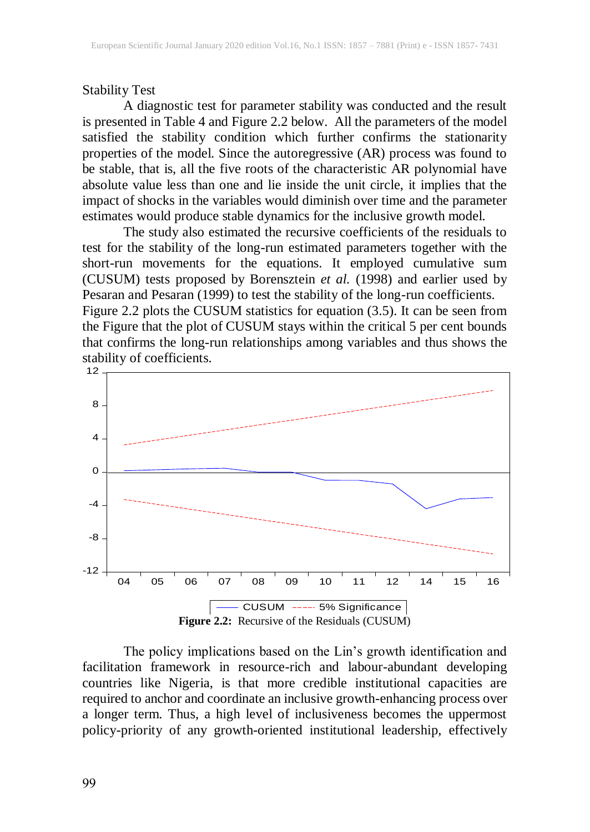# Stability Test

A diagnostic test for parameter stability was conducted and the result is presented in Table 4 and Figure 2.2 below. All the parameters of the model satisfied the stability condition which further confirms the stationarity properties of the model. Since the autoregressive (AR) process was found to be stable, that is, all the five roots of the characteristic AR polynomial have absolute value less than one and lie inside the unit circle, it implies that the impact of shocks in the variables would diminish over time and the parameter estimates would produce stable dynamics for the inclusive growth model.

The study also estimated the recursive coefficients of the residuals to test for the stability of the long-run estimated parameters together with the short-run movements for the equations. It employed cumulative sum (CUSUM) tests proposed by Borensztein *et al.* (1998) and earlier used by Pesaran and Pesaran (1999) to test the stability of the long-run coefficients. Figure 2.2 plots the CUSUM statistics for equation (3.5). It can be seen from the Figure that the plot of CUSUM stays within the critical 5 per cent bounds that confirms the long-run relationships among variables and thus shows the stability of coefficients.



The policy implications based on the Lin's growth identification and facilitation framework in resource-rich and labour-abundant developing countries like Nigeria, is that more credible institutional capacities are required to anchor and coordinate an inclusive growth-enhancing process over a longer term. Thus, a high level of inclusiveness becomes the uppermost policy-priority of any growth-oriented institutional leadership, effectively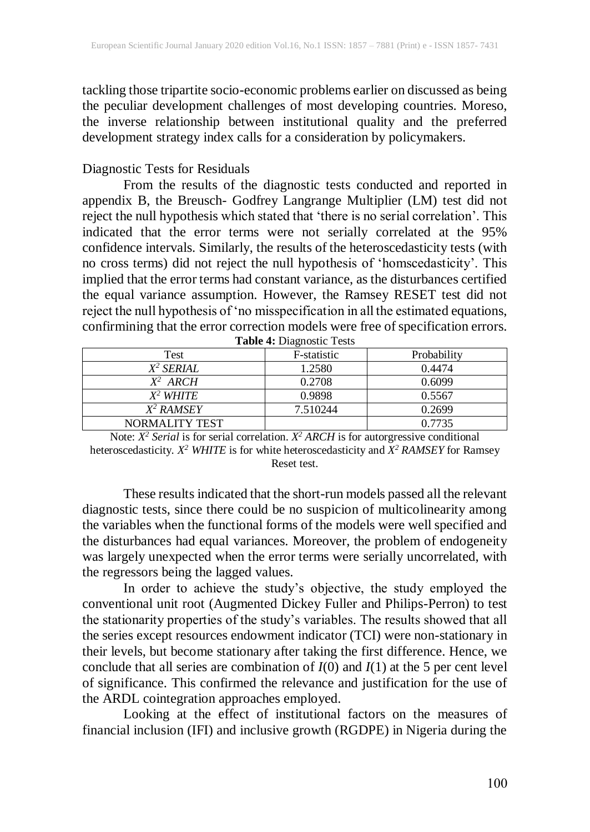tackling those tripartite socio-economic problems earlier on discussed as being the peculiar development challenges of most developing countries. Moreso, the inverse relationship between institutional quality and the preferred development strategy index calls for a consideration by policymakers.

#### Diagnostic Tests for Residuals

From the results of the diagnostic tests conducted and reported in appendix B, the Breusch- Godfrey Langrange Multiplier (LM) test did not reject the null hypothesis which stated that 'there is no serial correlation'. This indicated that the error terms were not serially correlated at the 95% confidence intervals. Similarly, the results of the heteroscedasticity tests (with no cross terms) did not reject the null hypothesis of 'homscedasticity'. This implied that the error terms had constant variance, as the disturbances certified the equal variance assumption. However, the Ramsey RESET test did not reject the null hypothesis of 'no misspecification in all the estimated equations, confirmining that the error correction models were free of specification errors.

| Test                  | F-statistic | Probability |
|-----------------------|-------------|-------------|
| $X^2$ SERIAL          | 1.2580      | 0.4474      |
| $X^2$ ARCH            | 0.2708      | 0.6099      |
| $X^2$ WHITE           | 0.9898      | 0.5567      |
| X <sup>2</sup> RAMSEY | 7.510244    | 0.2699      |
| NORMALITY TEST        |             | 0.7735      |

**Table 4:** Diagnostic Tests

Note:  $X^2$  *Serial* is for serial correlation.  $X^2$  *ARCH* is for autorgressive conditional heteroscedasticity. *X <sup>2</sup> WHITE* is for white heteroscedasticity and *X <sup>2</sup> RAMSEY* for Ramsey Reset test.

These results indicated that the short-run models passed all the relevant diagnostic tests, since there could be no suspicion of multicolinearity among the variables when the functional forms of the models were well specified and the disturbances had equal variances. Moreover, the problem of endogeneity was largely unexpected when the error terms were serially uncorrelated, with the regressors being the lagged values.

In order to achieve the study's objective, the study employed the conventional unit root (Augmented Dickey Fuller and Philips-Perron) to test the stationarity properties of the study's variables. The results showed that all the series except resources endowment indicator (TCI) were non-stationary in their levels, but become stationary after taking the first difference. Hence, we conclude that all series are combination of *I*(0) and *I*(1) at the 5 per cent level of significance. This confirmed the relevance and justification for the use of the ARDL cointegration approaches employed.

Looking at the effect of institutional factors on the measures of financial inclusion (IFI) and inclusive growth (RGDPE) in Nigeria during the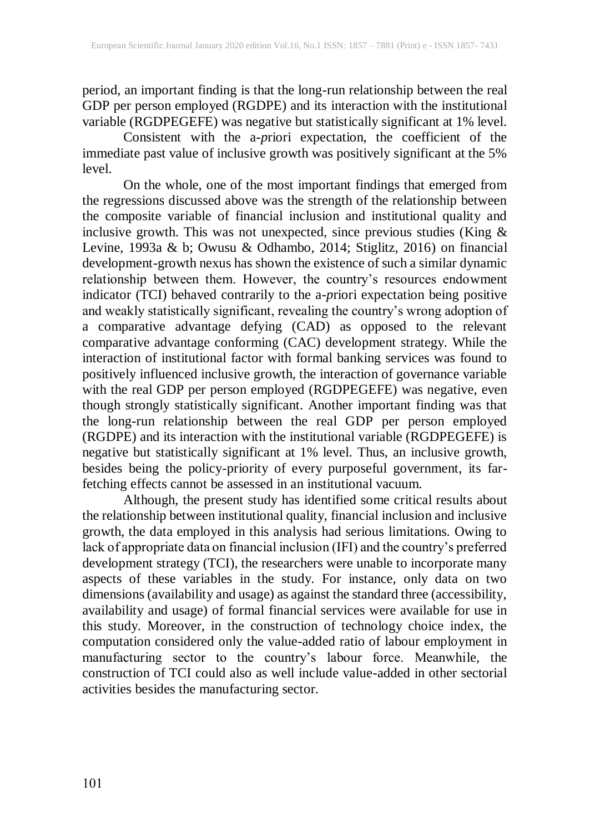period, an important finding is that the long-run relationship between the real GDP per person employed (RGDPE) and its interaction with the institutional variable (RGDPEGEFE) was negative but statistically significant at 1% level.

Consistent with the a-*p*riori expectation, the coefficient of the immediate past value of inclusive growth was positively significant at the 5% level.

On the whole, one of the most important findings that emerged from the regressions discussed above was the strength of the relationship between the composite variable of financial inclusion and institutional quality and inclusive growth. This was not unexpected, since previous studies (King & Levine, 1993a & b; Owusu & Odhambo, 2014; Stiglitz, 2016) on financial development-growth nexus has shown the existence of such a similar dynamic relationship between them. However, the country's resources endowment indicator (TCI) behaved contrarily to the a-*p*riori expectation being positive and weakly statistically significant, revealing the country's wrong adoption of a comparative advantage defying (CAD) as opposed to the relevant comparative advantage conforming (CAC) development strategy. While the interaction of institutional factor with formal banking services was found to positively influenced inclusive growth, the interaction of governance variable with the real GDP per person employed (RGDPEGEFE) was negative, even though strongly statistically significant. Another important finding was that the long-run relationship between the real GDP per person employed (RGDPE) and its interaction with the institutional variable (RGDPEGEFE) is negative but statistically significant at 1% level. Thus, an inclusive growth, besides being the policy-priority of every purposeful government, its farfetching effects cannot be assessed in an institutional vacuum.

Although, the present study has identified some critical results about the relationship between institutional quality, financial inclusion and inclusive growth, the data employed in this analysis had serious limitations. Owing to lack of appropriate data on financial inclusion (IFI) and the country's preferred development strategy (TCI), the researchers were unable to incorporate many aspects of these variables in the study. For instance, only data on two dimensions(availability and usage) as against the standard three (accessibility, availability and usage) of formal financial services were available for use in this study. Moreover, in the construction of technology choice index, the computation considered only the value-added ratio of labour employment in manufacturing sector to the country's labour force. Meanwhile, the construction of TCI could also as well include value-added in other sectorial activities besides the manufacturing sector.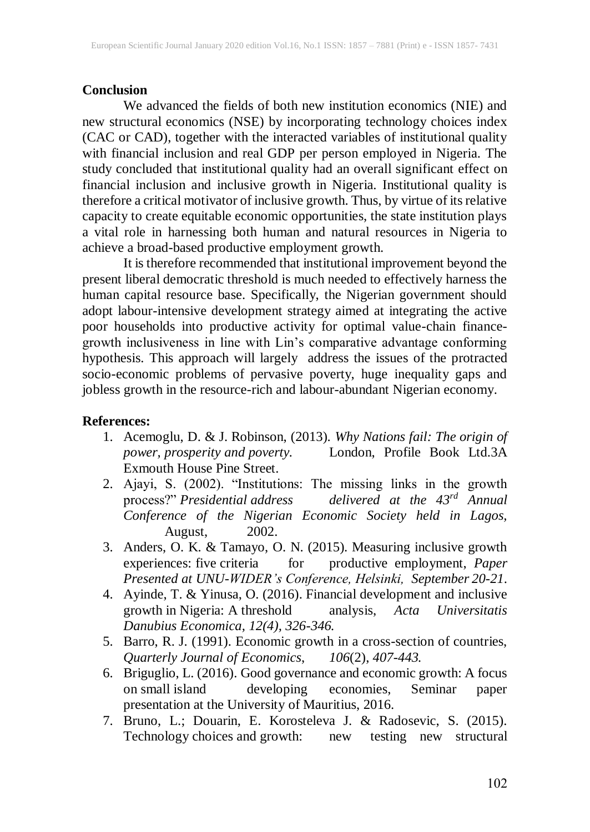#### **Conclusion**

We advanced the fields of both new institution economics (NIE) and new structural economics (NSE) by incorporating technology choices index (CAC or CAD), together with the interacted variables of institutional quality with financial inclusion and real GDP per person employed in Nigeria. The study concluded that institutional quality had an overall significant effect on financial inclusion and inclusive growth in Nigeria. Institutional quality is therefore a critical motivator of inclusive growth. Thus, by virtue of itsrelative capacity to create equitable economic opportunities, the state institution plays a vital role in harnessing both human and natural resources in Nigeria to achieve a broad-based productive employment growth.

It is therefore recommended that institutional improvement beyond the present liberal democratic threshold is much needed to effectively harness the human capital resource base. Specifically, the Nigerian government should adopt labour-intensive development strategy aimed at integrating the active poor households into productive activity for optimal value-chain financegrowth inclusiveness in line with Lin's comparative advantage conforming hypothesis. This approach will largely address the issues of the protracted socio-economic problems of pervasive poverty, huge inequality gaps and jobless growth in the resource-rich and labour-abundant Nigerian economy.

#### **References:**

- 1. Acemoglu, D. & J. Robinson, (2013). *Why Nations fail: The origin of power, prosperity and poverty.* London, Profile Book Ltd.3A Exmouth House Pine Street.
- 2. Ajayi, S. (2002). "Institutions: The missing links in the growth process?" *Presidential address delivered at the 43rd Annual Conference of the Nigerian Economic Society held in Lagos,* August, 2002.
- 3. Anders, O. K. & Tamayo, O. N. (2015). Measuring inclusive growth experiences: five criteria for productive employment, *Paper Presented at UNU-WIDER's Conference, Helsinki, September 20-21*.
- 4. Ayinde, T. & Yinusa, O. (2016). Financial development and inclusive growth in Nigeria: A threshold analysis, *Acta Universitatis Danubius Economica, 12(4), 326-346.*
- 5. Barro, R. J. (1991). Economic growth in a cross-section of countries, *Quarterly Journal of Economics*, *106*(2), *407-443.*
- 6. Briguglio, L. (2016). Good governance and economic growth: A focus on small island developing economies, Seminar paper presentation at the University of Mauritius, 2016.
- 7. Bruno, L.; Douarin, E. Korosteleva J. & Radosevic, S. (2015). Technology choices and growth: new testing new structural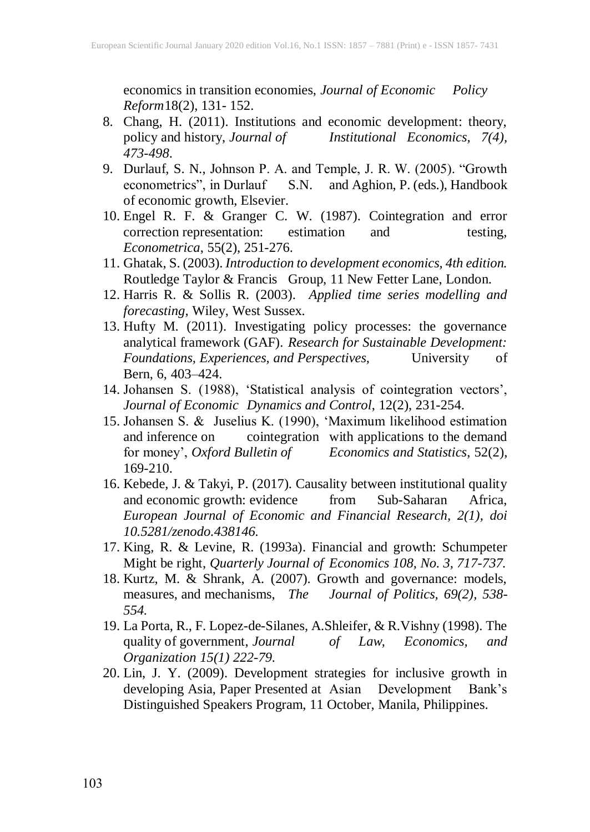economics in transition economies, *Journal of Economic Policy Reform*18(2), 131- 152.

- 8. Chang, H. (2011). Institutions and economic development: theory, policy and history, *Journal of Institutional Economics, 7(4), 473-498*.
- 9. Durlauf, S. N., Johnson P. A. and Temple, J. R. W. (2005). "Growth econometrics", in Durlauf S.N. and Aghion, P. (eds.), Handbook S.N. and Aghion, P. (eds.), Handbook of economic growth, Elsevier.
- 10. Engel R. F. & Granger C. W. (1987). Cointegration and error correction representation: estimation and testing, *Econometrica*, 55(2), 251-276.
- 11. Ghatak, S. (2003). *Introduction to development economics, 4th edition.* Routledge Taylor & Francis Group, 11 New Fetter Lane, London.
- 12. Harris R. & Sollis R. (2003). *Applied time series modelling and forecasting,* Wiley, West Sussex.
- 13. Hufty M. (2011). Investigating policy processes: the governance analytical framework (GAF). *Research for Sustainable Development: Foundations, Experiences, and Perspectives,* University of Bern, 6, 403–424.
- 14. Johansen S. (1988), 'Statistical analysis of cointegration vectors', *Journal of Economic Dynamics and Control*, 12(2), 231-254.
- 15. Johansen S. & Juselius K. (1990), 'Maximum likelihood estimation and inference on cointegration with applications to the demand for money', *Oxford Bulletin of Economics and Statistics*, 52(2), 169-210.
- 16. Kebede, J. & Takyi, P. (2017). Causality between institutional quality and economic growth: evidence from Sub-Saharan Africa, *European Journal of Economic and Financial Research, 2(1), doi 10.5281/zenodo.438146.*
- 17. King, R. & Levine, R. (1993a). Financial and growth: Schumpeter Might be right, *Quarterly Journal of Economics 108, No. 3, 717-737.*
- 18. Kurtz, M. & Shrank, A. (2007). Growth and governance: models, measures, and mechanisms, *The Journal of Politics, 69(2), 538- 554.*
- 19. La Porta, R., F. Lopez-de-Silanes, A.Shleifer, & R. Vishny (1998). The quality of government, *Journal* of Law, *Economics*, and quality of government, *Journal of Law, Economics, and Organization 15(1) 222-79.*
- 20. Lin, J. Y. (2009). Development strategies for inclusive growth in developing Asia, Paper Presented at Asian Development Bank's Distinguished Speakers Program, 11 October, Manila, Philippines.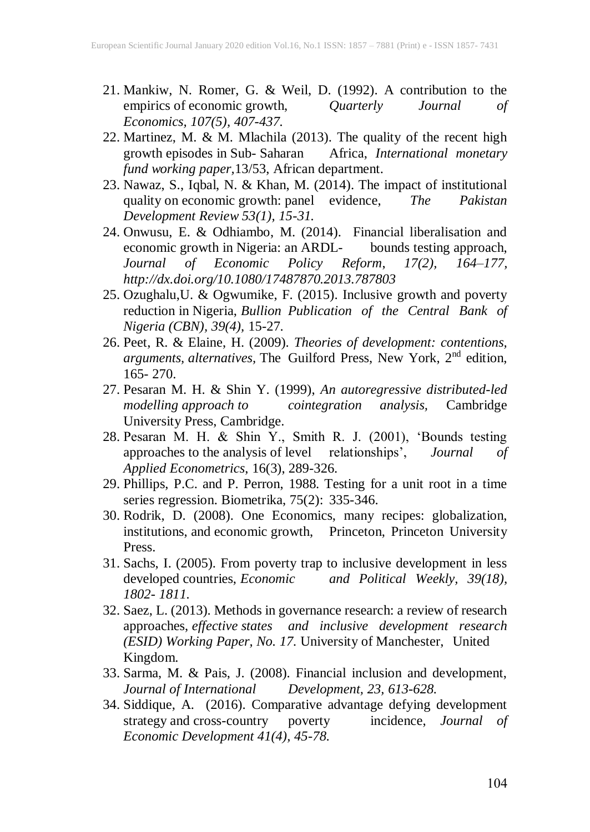- 21. Mankiw, N. Romer, G. & Weil, D. (1992). A contribution to the empirics of economic growth, Quarterly Journal of empirics of economic growth, *Quarterly Journal of Economics, 107(5), 407-437.*
- 22. Martinez, M. & M. Mlachila (2013). The quality of the recent high growth episodes in Sub-Saharan Africa, *International monetary* growth episodes in Sub- Saharan *fund working paper,*13/53, African department.
- 23. Nawaz, S., Iqbal, N. & Khan, M. (2014). The impact of institutional quality on economic growth: panel evidence, *The Pakistan Development Review 53(1), 15-31.*
- 24. Onwusu, E. & Odhiambo, M. (2014). Financial liberalisation and economic growth in Nigeria: an ARDL-<br>
Journal of Economic Policy Reform, 17(2), 164–177, *Journal of Economic Policy Reform*, *17(2), 164–177, http://dx.doi.org/10.1080/17487870.2013.787803*
- 25. Ozughalu,U. & Ogwumike, F. (2015). Inclusive growth and poverty reduction in Nigeria, *Bullion Publication of the Central Bank of Nigeria (CBN), 39(4),* 15-27.
- 26. Peet, R. & Elaine, H. (2009). *Theories of development: contentions, arguments, alternatives,* The Guilford Press, New York, 2 nd edition, 165- 270.
- 27. Pesaran M. H. & Shin Y. (1999), *An autoregressive distributed-led modelling approach to cointegration analysis,* Cambridge University Press, Cambridge.
- 28. Pesaran M. H. & Shin Y., Smith R. J. (2001), 'Bounds testing approaches to the analysis of level relationships', *Journal of Applied Econometrics*, 16(3), 289-326.
- 29. Phillips, P.C. and P. Perron, 1988. Testing for a unit root in a time series regression. Biometrika, 75(2): 335-346.
- 30. Rodrik, D. (2008). One Economics, many recipes: globalization, institutions, and economic growth, Princeton, Princeton University Press.
- 31. Sachs, I. (2005). From poverty trap to inclusive development in less developed countries, *Economic and Political Weekly, 39(18), 1802- 1811.*
- 32. Saez, L. (2013). Methods in governance research: a review of research approaches, *effective states and inclusive development research (ESID) Working Paper, No. 17.* University of Manchester, United Kingdom.
- 33. Sarma, M. & Pais, J. (2008). Financial inclusion and development, *Journal of International Development, 23, 613-628.*
- 34. Siddique, A. (2016). Comparative advantage defying development strategy and cross-country poverty incidence, *Journal of Economic Development 41(4), 45-78*.